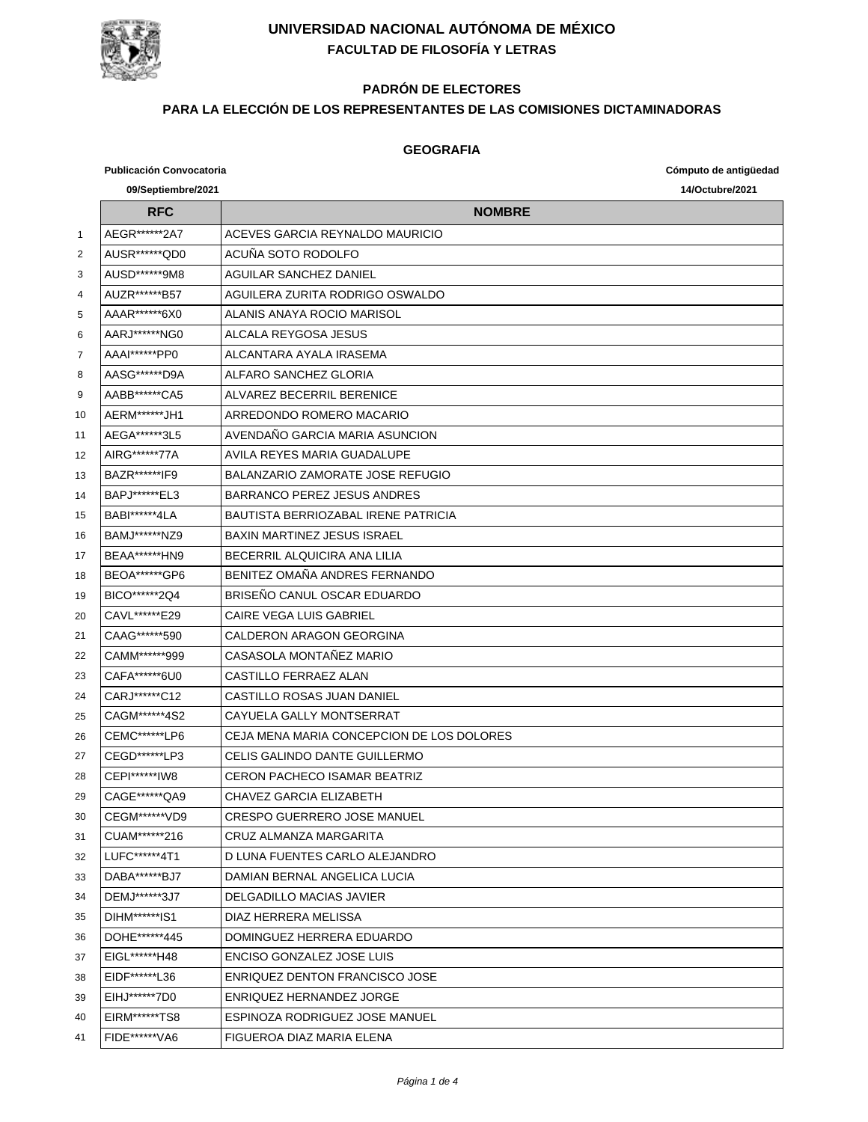

# **PADRÓN DE ELECTORES**

#### **PARA LA ELECCIÓN DE LOS REPRESENTANTES DE LAS COMISIONES DICTAMINADORAS**

#### **GEOGRAFIA**

|                | <b>Publicación Convocatoria</b><br>09/Septiembre/2021 |                                           | Cómputo de antigüedad<br>14/Octubre/2021 |
|----------------|-------------------------------------------------------|-------------------------------------------|------------------------------------------|
|                | <b>RFC</b>                                            | <b>NOMBRE</b>                             |                                          |
| $\mathbf{1}$   | AEGR*******2A7                                        | ACEVES GARCIA REYNALDO MAURICIO           |                                          |
| $\overline{2}$ | AUSR******QD0                                         | ACUÑA SOTO RODOLFO                        |                                          |
| 3              | AUSD******9M8                                         | <b>AGUILAR SANCHEZ DANIEL</b>             |                                          |
| 4              | AUZR*******B57                                        | AGUILERA ZURITA RODRIGO OSWALDO           |                                          |
| 5              | AAAR******6X0                                         | ALANIS ANAYA ROCIO MARISOL                |                                          |
| 6              | AARJ ****** NG0                                       | ALCALA REYGOSA JESUS                      |                                          |
| 7              | AAAI******PP0                                         | AI CANTARA AYAI A IRASEMA                 |                                          |
| 8              | AASG*******D9A                                        | ALFARO SANCHEZ GLORIA                     |                                          |
| 9              | AABB******CA5                                         | ALVAREZ BECERRIL BERENICE                 |                                          |
| 10             | AERM******JH1                                         | ARREDONDO ROMERO MACARIO                  |                                          |
| 11             | AEGA******3L5                                         | AVENDAÑO GARCIA MARIA ASUNCION            |                                          |
| 12             | AIRG******77A                                         | AVILA REYES MARIA GUADALUPE               |                                          |
| 13             | BAZR*******IF9                                        | BALANZARIO ZAMORATE JOSE REFUGIO          |                                          |
| 14             | BAPJ*******EL3                                        | <b>BARRANCO PEREZ JESUS ANDRES</b>        |                                          |
| 15             | BABI******4LA                                         | BAUTISTA BERRIOZABAL IRENE PATRICIA       |                                          |
| 16             | BAMJ******NZ9                                         | <b>BAXIN MARTINEZ JESUS ISRAEL</b>        |                                          |
| 17             | BEAA*******HN9                                        | BECERRIL ALQUICIRA ANA LILIA              |                                          |
| 18             | BEOA******GP6                                         | BENITEZ OMAÑA ANDRES FERNANDO             |                                          |
| 19             | BICO*******2Q4                                        | BRISEÑO CANUL OSCAR EDUARDO               |                                          |
| 20             | CAVL*******E29                                        | CAIRE VEGA LUIS GABRIEL                   |                                          |
| 21             | CAAG******590                                         | CALDERON ARAGON GEORGINA                  |                                          |
| 22             | CAMM******999                                         | CASASOLA MONTAÑEZ MARIO                   |                                          |
| 23             | CAFA******6U0                                         | CASTILLO FERRAEZ ALAN                     |                                          |
| 24             | CARJ******C12                                         | CASTILLO ROSAS JUAN DANIEL                |                                          |
| 25             | CAGM******4S2                                         | CAYUELA GALLY MONTSERRAT                  |                                          |
| 26             | CEMC******LP6                                         | CEJA MENA MARIA CONCEPCION DE LOS DOLORES |                                          |
| 27             | CEGD*******LP3                                        | CELIS GALINDO DANTE GUILLERMO             |                                          |
| 28             | CEPI*******IW8                                        | <b>CERON PACHECO ISAMAR BEATRIZ</b>       |                                          |
| 29             | CAGE******QA9                                         | CHAVEZ GARCIA ELIZABETH                   |                                          |
| 30             | CEGM******VD9                                         | CRESPO GUERRERO JOSE MANUEL               |                                          |
| 31             | CUAM******216                                         | CRUZ ALMANZA MARGARITA                    |                                          |
| 32             | LUFC******4T1                                         | D LUNA FUENTES CARLO ALEJANDRO            |                                          |
| 33             | DABA******BJ7                                         | DAMIAN BERNAL ANGELICA LUCIA              |                                          |
| 34             | DEMJ******3J7                                         | DELGADILLO MACIAS JAVIER                  |                                          |
| 35             | DIHM******IS1                                         | DIAZ HERRERA MELISSA                      |                                          |
| 36             | DOHE******445                                         | DOMINGUEZ HERRERA EDUARDO                 |                                          |
| 37             | EIGL******H48                                         | ENCISO GONZALEZ JOSE LUIS                 |                                          |
| 38             | EIDF*******L36                                        | <b>ENRIQUEZ DENTON FRANCISCO JOSE</b>     |                                          |
| 39             | EIHJ******7D0                                         | ENRIQUEZ HERNANDEZ JORGE                  |                                          |
| 40             | EIRM******TS8                                         | ESPINOZA RODRIGUEZ JOSE MANUEL            |                                          |
| 41             | FIDE******VA6                                         | FIGUEROA DIAZ MARIA ELENA                 |                                          |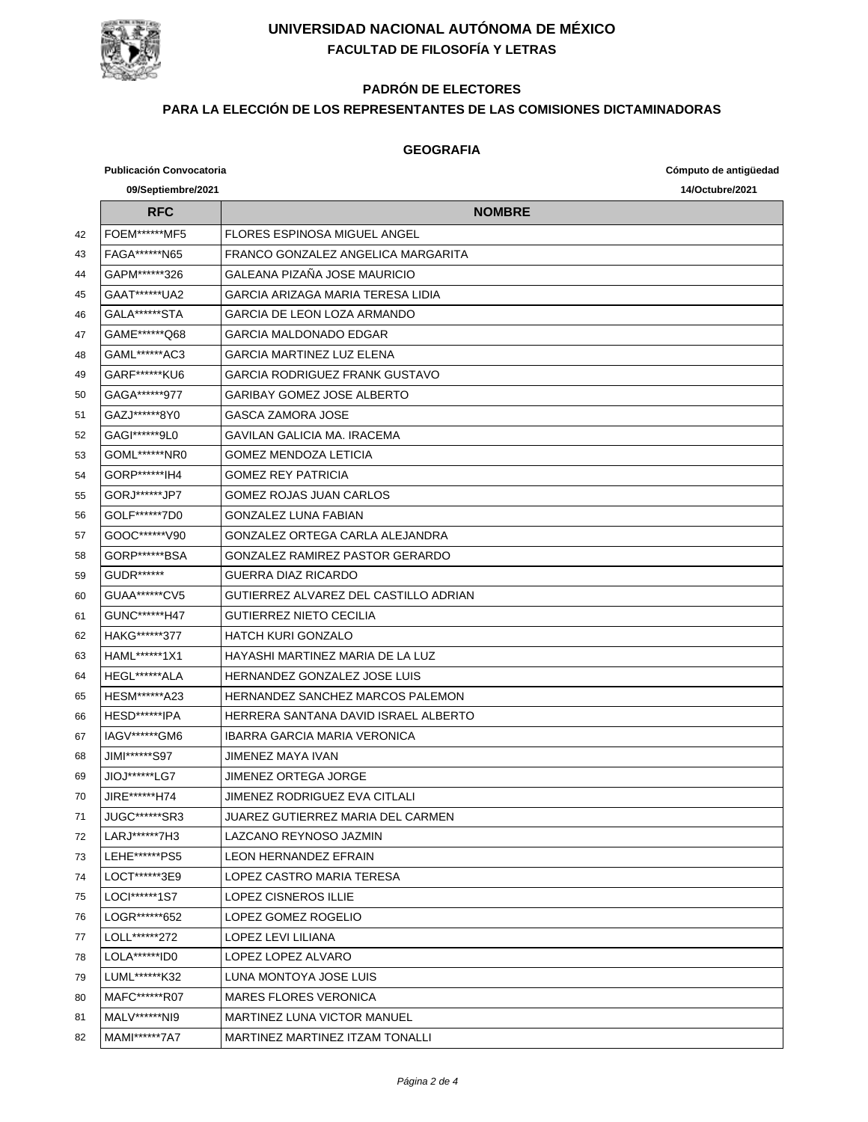

# **PADRÓN DE ELECTORES**

#### **PARA LA ELECCIÓN DE LOS REPRESENTANTES DE LAS COMISIONES DICTAMINADORAS**

#### **GEOGRAFIA**

|    | <b>Publicación Convocatoria</b> |                                       | Cómputo de antigüedad |
|----|---------------------------------|---------------------------------------|-----------------------|
|    | 09/Septiembre/2021              |                                       | 14/Octubre/2021       |
|    | <b>RFC</b>                      | <b>NOMBRE</b>                         |                       |
| 42 | <b>FOEM******MF5</b>            | FLORES ESPINOSA MIGUEL ANGEL          |                       |
| 43 | FAGA*******N65                  | FRANCO GONZALEZ ANGELICA MARGARITA    |                       |
| 44 | GAPM******326                   | GALEANA PIZAÑA JOSE MAURICIO          |                       |
| 45 | GAAT******UA2                   | GARCIA ARIZAGA MARIA TERESA LIDIA     |                       |
| 46 | GALA******STA                   | GARCIA DE LEON LOZA ARMANDO           |                       |
| 47 | GAME******Q68                   | GARCIA MALDONADO EDGAR                |                       |
| 48 | GAML******AC3                   | GARCIA MARTINEZ LUZ ELENA             |                       |
| 49 | GARF******KU6                   | GARCIA RODRIGUEZ FRANK GUSTAVO        |                       |
| 50 | GAGA*******977                  | <b>GARIBAY GOMEZ JOSE ALBERTO</b>     |                       |
| 51 | GAZJ******8Y0                   | GASCA ZAMORA JOSE                     |                       |
| 52 | GAGI******9L0                   | <b>GAVILAN GALICIA MA. IRACEMA</b>    |                       |
| 53 | GOML*******NR0                  | <b>GOMEZ MENDOZA LETICIA</b>          |                       |
| 54 | GORP******IH4                   | <b>GOMEZ REY PATRICIA</b>             |                       |
| 55 | GORJ ****** JP7                 | <b>GOMEZ ROJAS JUAN CARLOS</b>        |                       |
| 56 | GOLF*******7D0                  | <b>GONZALEZ LUNA FABIAN</b>           |                       |
| 57 | GOOC******V90                   | GONZALEZ ORTEGA CARLA ALEJANDRA       |                       |
| 58 | GORP *******BSA                 | GONZALEZ RAMIREZ PASTOR GERARDO       |                       |
| 59 | GUDR*******                     | GUERRA DIAZ RICARDO                   |                       |
| 60 | GUAA*******CV5                  | GUTIERREZ ALVAREZ DEL CASTILLO ADRIAN |                       |
| 61 | GUNC*******H47                  | <b>GUTIERREZ NIETO CECILIA</b>        |                       |
| 62 | HAKG*******377                  | HATCH KURI GONZALO                    |                       |
| 63 | HAML******1X1                   | HAYASHI MARTINEZ MARIA DE LA LUZ      |                       |
| 64 | HEGL******ALA                   | HERNANDEZ GONZALEZ JOSE LUIS          |                       |
| 65 | HESM******A23                   | HERNANDEZ SANCHEZ MARCOS PALEMON      |                       |
| 66 | HESD*******IPA                  | HERRERA SANTANA DAVID ISRAEL ALBERTO  |                       |
| 67 | IAGV******GM6                   | IBARRA GARCIA MARIA VERONICA          |                       |
| 68 | JIMI*******S97                  | JIMENEZ MAYA IVAN                     |                       |
| 69 | JIOJ******LG7                   | JIMENEZ ORTEGA JORGE                  |                       |
| 70 | JIRE******H74                   | JIMENEZ RODRIGUEZ EVA CITLALI         |                       |
| 71 | JUGC*******SR3                  | JUAREZ GUTIERREZ MARIA DEL CARMEN     |                       |
| 72 | LARJ ******7H3                  | LAZCANO REYNOSO JAZMIN                |                       |
| 73 | LEHE******PS5                   | LEON HERNANDEZ EFRAIN                 |                       |
| 74 | LOCT******3E9                   | LOPEZ CASTRO MARIA TERESA             |                       |
| 75 | LOCI******1S7                   | <b>LOPEZ CISNEROS ILLIE</b>           |                       |
| 76 | LOGR*******652                  | LOPEZ GOMEZ ROGELIO                   |                       |
| 77 | LOLL******272                   | LOPEZ LEVI LILIANA                    |                       |
| 78 | LOLA******ID0                   | LOPEZ LOPEZ ALVARO                    |                       |
| 79 | LUML******K32                   | LUNA MONTOYA JOSE LUIS                |                       |
| 80 | MAFC******R07                   | <b>MARES FLORES VERONICA</b>          |                       |
| 81 | MALV ****** NI9                 | <b>MARTINEZ LUNA VICTOR MANUEL</b>    |                       |
| 82 | MAMI******7A7                   | MARTINEZ MARTINEZ ITZAM TONALLI       |                       |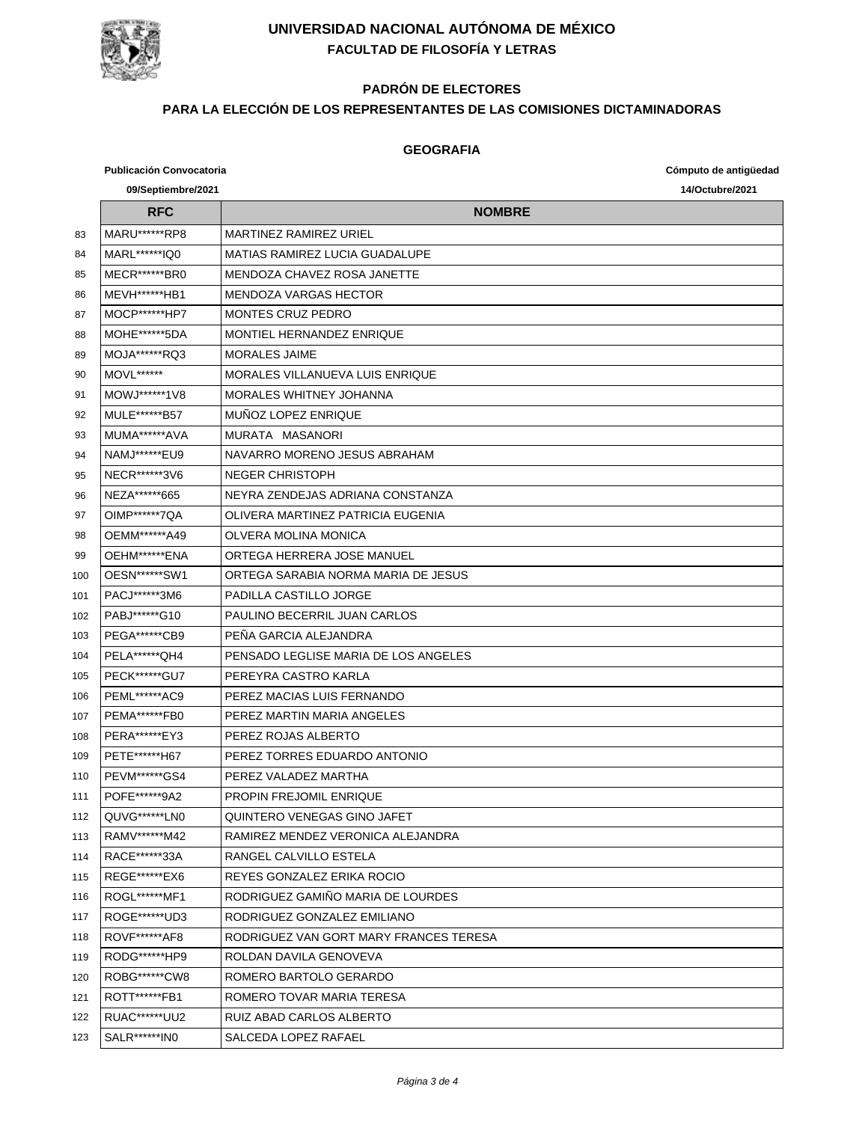

# **PADRÓN DE ELECTORES**

#### **PARA LA ELECCIÓN DE LOS REPRESENTANTES DE LAS COMISIONES DICTAMINADORAS**

#### **GEOGRAFIA**

**Publicación Convocatoria Cómputo de antigüedad**

|     | 09/Septiembre/2021    | 14/Octubre/2021                        |
|-----|-----------------------|----------------------------------------|
|     | <b>RFC</b>            | <b>NOMBRE</b>                          |
| 83  | MARU******RP8         | <b>MARTINEZ RAMIREZ URIEL</b>          |
| 84  | MARL******IQ0         | MATIAS RAMIREZ LUCIA GUADALUPE         |
| 85  | MECR******BR0         | MENDOZA CHAVEZ ROSA JANETTE            |
| 86  | MEVH******HB1         | <b>MENDOZA VARGAS HECTOR</b>           |
| 87  | MOCP*******HP7        | <b>MONTES CRUZ PEDRO</b>               |
| 88  | MOHE******5DA         | MONTIEL HERNANDEZ ENRIQUE              |
| 89  | MOJA******RQ3         | <b>MORALES JAIME</b>                   |
| 90  | <b>MOVL******</b>     | MORALES VILLANUEVA LUIS ENRIQUE        |
| 91  | MOWJ******1V8         | MORALES WHITNEY JOHANNA                |
| 92  | MULE*******B57        | <b>MUNOZ LOPEZ ENRIQUE</b>             |
| 93  | MUMA******AVA         | MURATA MASANORI                        |
| 94  | NAMJ*******EU9        | NAVARRO MORENO JESUS ABRAHAM           |
| 95  | NECR******3V6         | NEGER CHRISTOPH                        |
| 96  | NEZA******665         | NEYRA ZENDEJAS ADRIANA CONSTANZA       |
| 97  | OIMP******7QA         | OLIVERA MARTINEZ PATRICIA FUGENIA      |
| 98  | OEMM******A49         | OLVERA MOLINA MONICA                   |
| 99  | OEHM******ENA         | ORTEGA HERRERA JOSE MANUEL             |
| 100 | OESN******SW1         | ORTEGA SARABIA NORMA MARIA DE JESUS    |
| 101 | PACJ******3M6         | PADILLA CASTILLO JORGE                 |
| 102 | PABJ******G10         | PAULINO BECERRIL JUAN CARLOS           |
| 103 | <b>PEGA*******CB9</b> | PEÑA GARCIA ALEJANDRA                  |
| 104 | PELA*******QH4        | PENSADO LEGLISE MARIA DE LOS ANGELES   |
| 105 | <b>PECK******GU7</b>  | PEREYRA CASTRO KARLA                   |
| 106 | PEML******AC9         | PEREZ MACIAS LUIS FERNANDO             |
| 107 | <b>PEMA******FB0</b>  | PEREZ MARTIN MARIA ANGELES             |
| 108 | PERA*******EY3        | PEREZ ROJAS ALBERTO                    |
| 109 | PETE*******H67        | PEREZ TORRES EDUARDO ANTONIO           |
| 110 | PEVM*******GS4        | PEREZ VAI ADEZ MARTHA                  |
| 111 | POFE******9A2         | <b>PROPIN FREJOMIL ENRIQUE</b>         |
| 112 | QUVG******LN0         | QUINTERO VENEGAS GINO JAFET            |
| 113 | RAMV******M42         | RAMIREZ MENDEZ VERONICA ALEJANDRA      |
| 114 | RACE******33A         | RANGEL CALVILLO ESTELA                 |
| 115 | REGE*******EX6        | REYES GONZALEZ ERIKA ROCIO             |
| 116 | ROGL******MF1         | RODRIGUEZ GAMIÑO MARIA DE LOURDES      |
| 117 | ROGE *******UD3       | RODRIGUEZ GONZALEZ EMILIANO            |
| 118 | ROVF******AF8         | RODRIGUEZ VAN GORT MARY FRANCES TERESA |
| 119 | RODG*******HP9        | ROLDAN DAVILA GENOVEVA                 |
| 120 | ROBG******CW8         | ROMERO BARTOLO GERARDO                 |
| 121 | ROTT*******FB1        | ROMERO TOVAR MARIA TERESA              |
| 122 | RUAC*******UU2        | RUIZ ABAD CARLOS ALBERTO               |
| 123 | SALR******IN0         | SALCEDA LOPEZ RAFAEL                   |